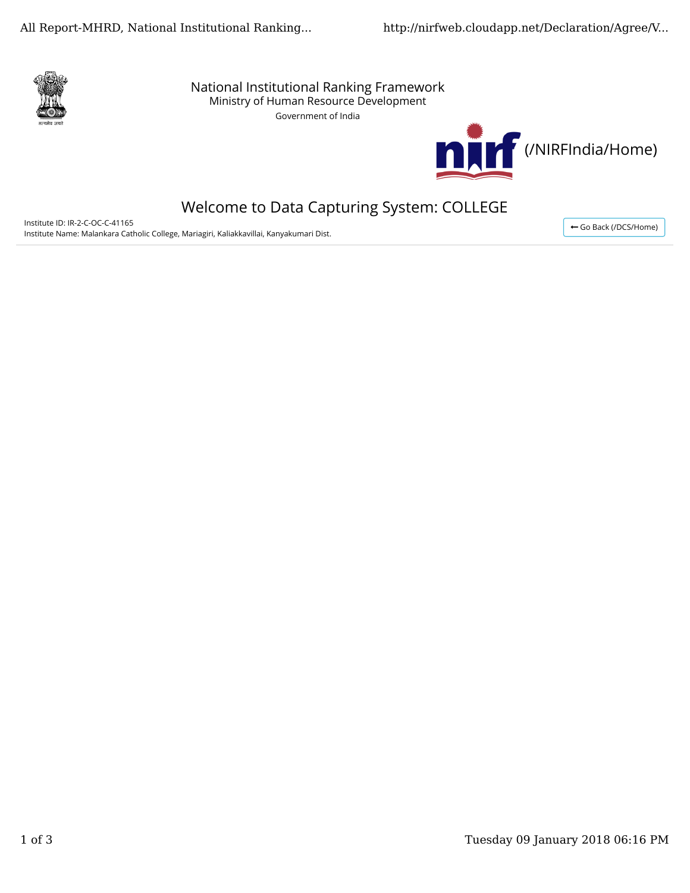

National Institutional Ranking Framework Ministry of Human Resource Development

Government of India



# Welcome to Data Capturing System: COLLEGE

Institute ID: IR-2-C-OC-C-41165 Institute Name: Malankara Catholic College, Mariagiri, Kaliakkavillai, Kanyakumari Dist.

← Go Back (/DCS/Home)